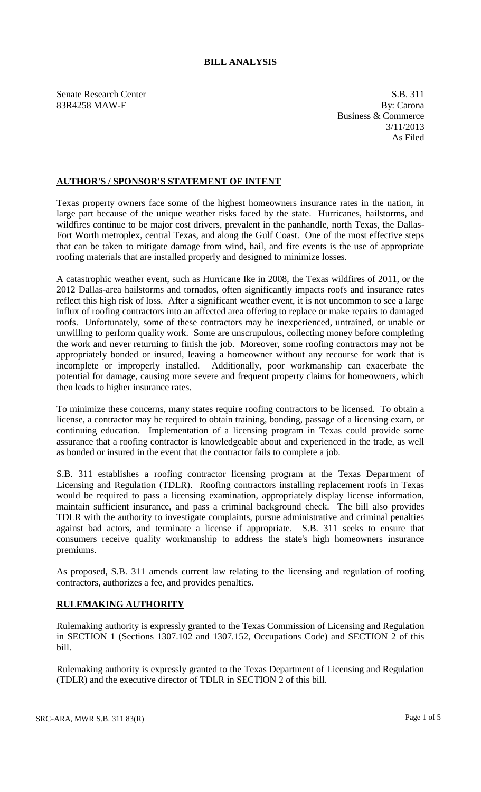## **BILL ANALYSIS**

Senate Research Center S.B. 311 83R4258 MAW-F By: Carona

Business & Commerce 3/11/2013 As Filed

### **AUTHOR'S / SPONSOR'S STATEMENT OF INTENT**

Texas property owners face some of the highest homeowners insurance rates in the nation, in large part because of the unique weather risks faced by the state. Hurricanes, hailstorms, and wildfires continue to be major cost drivers, prevalent in the panhandle, north Texas, the Dallas-Fort Worth metroplex, central Texas, and along the Gulf Coast. One of the most effective steps that can be taken to mitigate damage from wind, hail, and fire events is the use of appropriate roofing materials that are installed properly and designed to minimize losses.

A catastrophic weather event, such as Hurricane Ike in 2008, the Texas wildfires of 2011, or the 2012 Dallas-area hailstorms and tornados, often significantly impacts roofs and insurance rates reflect this high risk of loss. After a significant weather event, it is not uncommon to see a large influx of roofing contractors into an affected area offering to replace or make repairs to damaged roofs. Unfortunately, some of these contractors may be inexperienced, untrained, or unable or unwilling to perform quality work. Some are unscrupulous, collecting money before completing the work and never returning to finish the job. Moreover, some roofing contractors may not be appropriately bonded or insured, leaving a homeowner without any recourse for work that is incomplete or improperly installed. Additionally, poor workmanship can exacerbate the potential for damage, causing more severe and frequent property claims for homeowners, which then leads to higher insurance rates.

To minimize these concerns, many states require roofing contractors to be licensed. To obtain a license, a contractor may be required to obtain training, bonding, passage of a licensing exam, or continuing education. Implementation of a licensing program in Texas could provide some assurance that a roofing contractor is knowledgeable about and experienced in the trade, as well as bonded or insured in the event that the contractor fails to complete a job.

S.B. 311 establishes a roofing contractor licensing program at the Texas Department of Licensing and Regulation (TDLR). Roofing contractors installing replacement roofs in Texas would be required to pass a licensing examination, appropriately display license information, maintain sufficient insurance, and pass a criminal background check. The bill also provides TDLR with the authority to investigate complaints, pursue administrative and criminal penalties against bad actors, and terminate a license if appropriate. S.B. 311 seeks to ensure that consumers receive quality workmanship to address the state's high homeowners insurance premiums.

As proposed, S.B. 311 amends current law relating to the licensing and regulation of roofing contractors, authorizes a fee, and provides penalties.

### **RULEMAKING AUTHORITY**

Rulemaking authority is expressly granted to the Texas Commission of Licensing and Regulation in SECTION 1 (Sections 1307.102 and 1307.152, Occupations Code) and SECTION 2 of this bill.

Rulemaking authority is expressly granted to the Texas Department of Licensing and Regulation (TDLR) and the executive director of TDLR in SECTION 2 of this bill.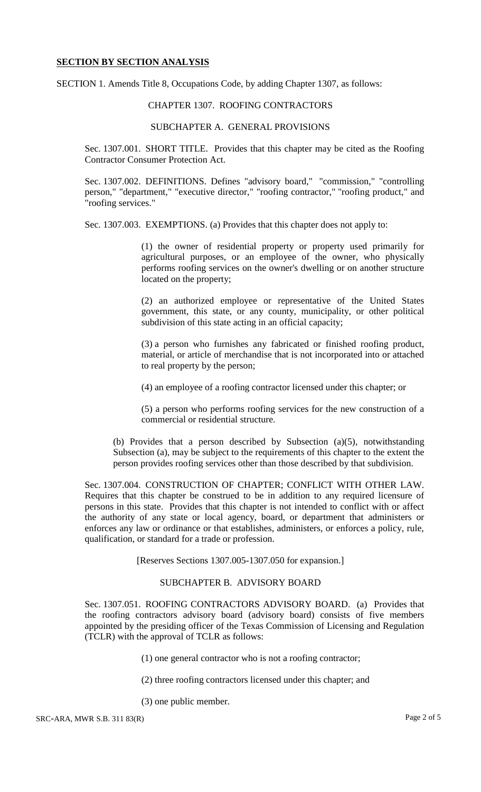#### **SECTION BY SECTION ANALYSIS**

SECTION 1. Amends Title 8, Occupations Code, by adding Chapter 1307, as follows:

#### CHAPTER 1307. ROOFING CONTRACTORS

#### SUBCHAPTER A. GENERAL PROVISIONS

Sec. 1307.001. SHORT TITLE. Provides that this chapter may be cited as the Roofing Contractor Consumer Protection Act.

Sec. 1307.002. DEFINITIONS. Defines "advisory board," "commission," "controlling person," "department," "executive director," "roofing contractor," "roofing product," and "roofing services."

Sec. 1307.003. EXEMPTIONS. (a) Provides that this chapter does not apply to:

(1) the owner of residential property or property used primarily for agricultural purposes, or an employee of the owner, who physically performs roofing services on the owner's dwelling or on another structure located on the property;

(2) an authorized employee or representative of the United States government, this state, or any county, municipality, or other political subdivision of this state acting in an official capacity;

(3) a person who furnishes any fabricated or finished roofing product, material, or article of merchandise that is not incorporated into or attached to real property by the person;

(4) an employee of a roofing contractor licensed under this chapter; or

(5) a person who performs roofing services for the new construction of a commercial or residential structure.

(b) Provides that a person described by Subsection (a)(5), notwithstanding Subsection (a), may be subject to the requirements of this chapter to the extent the person provides roofing services other than those described by that subdivision.

Sec. 1307.004. CONSTRUCTION OF CHAPTER; CONFLICT WITH OTHER LAW. Requires that this chapter be construed to be in addition to any required licensure of persons in this state. Provides that this chapter is not intended to conflict with or affect the authority of any state or local agency, board, or department that administers or enforces any law or ordinance or that establishes, administers, or enforces a policy, rule, qualification, or standard for a trade or profession.

[Reserves Sections 1307.005-1307.050 for expansion.]

## SUBCHAPTER B. ADVISORY BOARD

Sec. 1307.051. ROOFING CONTRACTORS ADVISORY BOARD. (a) Provides that the roofing contractors advisory board (advisory board) consists of five members appointed by the presiding officer of the Texas Commission of Licensing and Regulation (TCLR) with the approval of TCLR as follows:

(1) one general contractor who is not a roofing contractor;

- (2) three roofing contractors licensed under this chapter; and
- (3) one public member.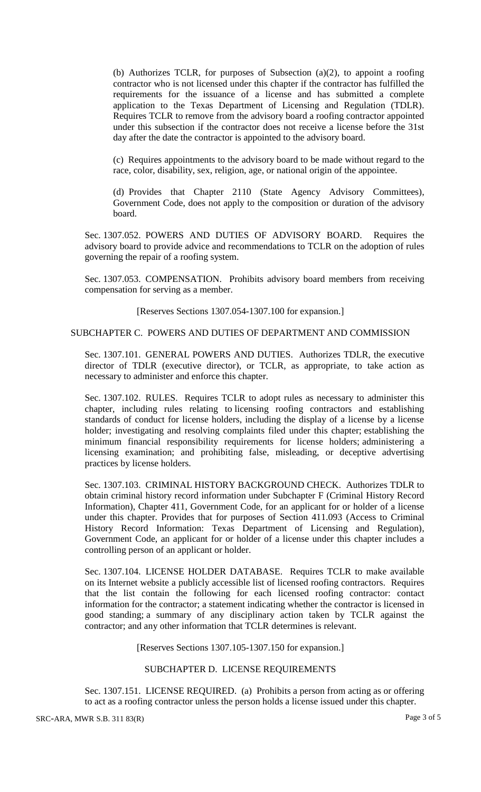(b) Authorizes TCLR, for purposes of Subsection (a)(2), to appoint a roofing contractor who is not licensed under this chapter if the contractor has fulfilled the requirements for the issuance of a license and has submitted a complete application to the Texas Department of Licensing and Regulation (TDLR). Requires TCLR to remove from the advisory board a roofing contractor appointed under this subsection if the contractor does not receive a license before the 31st day after the date the contractor is appointed to the advisory board.

(c) Requires appointments to the advisory board to be made without regard to the race, color, disability, sex, religion, age, or national origin of the appointee.

(d) Provides that Chapter 2110 (State Agency Advisory Committees), Government Code, does not apply to the composition or duration of the advisory board.

Sec. 1307.052. POWERS AND DUTIES OF ADVISORY BOARD. Requires the advisory board to provide advice and recommendations to TCLR on the adoption of rules governing the repair of a roofing system.

Sec. 1307.053. COMPENSATION. Prohibits advisory board members from receiving compensation for serving as a member.

[Reserves Sections 1307.054-1307.100 for expansion.]

### SUBCHAPTER C. POWERS AND DUTIES OF DEPARTMENT AND COMMISSION

Sec. 1307.101. GENERAL POWERS AND DUTIES. Authorizes TDLR, the executive director of TDLR (executive director), or TCLR, as appropriate, to take action as necessary to administer and enforce this chapter.

Sec. 1307.102. RULES. Requires TCLR to adopt rules as necessary to administer this chapter, including rules relating to licensing roofing contractors and establishing standards of conduct for license holders, including the display of a license by a license holder; investigating and resolving complaints filed under this chapter; establishing the minimum financial responsibility requirements for license holders; administering a licensing examination; and prohibiting false, misleading, or deceptive advertising practices by license holders.

Sec. 1307.103. CRIMINAL HISTORY BACKGROUND CHECK. Authorizes TDLR to obtain criminal history record information under Subchapter F (Criminal History Record Information), Chapter 411, Government Code, for an applicant for or holder of a license under this chapter. Provides that for purposes of Section 411.093 (Access to Criminal History Record Information: Texas Department of Licensing and Regulation), Government Code, an applicant for or holder of a license under this chapter includes a controlling person of an applicant or holder.

Sec. 1307.104. LICENSE HOLDER DATABASE. Requires TCLR to make available on its Internet website a publicly accessible list of licensed roofing contractors. Requires that the list contain the following for each licensed roofing contractor: contact information for the contractor; a statement indicating whether the contractor is licensed in good standing; a summary of any disciplinary action taken by TCLR against the contractor; and any other information that TCLR determines is relevant.

[Reserves Sections 1307.105-1307.150 for expansion.]

# SUBCHAPTER D. LICENSE REQUIREMENTS

Sec. 1307.151. LICENSE REQUIRED. (a) Prohibits a person from acting as or offering to act as a roofing contractor unless the person holds a license issued under this chapter.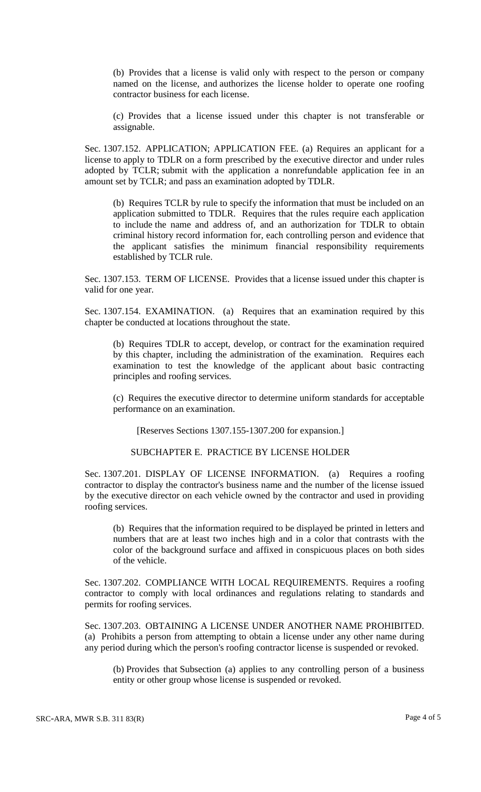(b) Provides that a license is valid only with respect to the person or company named on the license, and authorizes the license holder to operate one roofing contractor business for each license.

(c) Provides that a license issued under this chapter is not transferable or assignable.

Sec. 1307.152. APPLICATION; APPLICATION FEE. (a) Requires an applicant for a license to apply to TDLR on a form prescribed by the executive director and under rules adopted by TCLR; submit with the application a nonrefundable application fee in an amount set by TCLR; and pass an examination adopted by TDLR.

(b) Requires TCLR by rule to specify the information that must be included on an application submitted to TDLR. Requires that the rules require each application to include the name and address of, and an authorization for TDLR to obtain criminal history record information for, each controlling person and evidence that the applicant satisfies the minimum financial responsibility requirements established by TCLR rule.

Sec. 1307.153. TERM OF LICENSE. Provides that a license issued under this chapter is valid for one year.

Sec. 1307.154. EXAMINATION. (a) Requires that an examination required by this chapter be conducted at locations throughout the state.

(b) Requires TDLR to accept, develop, or contract for the examination required by this chapter, including the administration of the examination. Requires each examination to test the knowledge of the applicant about basic contracting principles and roofing services.

(c) Requires the executive director to determine uniform standards for acceptable performance on an examination.

[Reserves Sections 1307.155-1307.200 for expansion.]

## SUBCHAPTER E. PRACTICE BY LICENSE HOLDER

Sec. 1307.201. DISPLAY OF LICENSE INFORMATION. (a) Requires a roofing contractor to display the contractor's business name and the number of the license issued by the executive director on each vehicle owned by the contractor and used in providing roofing services.

(b) Requires that the information required to be displayed be printed in letters and numbers that are at least two inches high and in a color that contrasts with the color of the background surface and affixed in conspicuous places on both sides of the vehicle.

Sec. 1307.202. COMPLIANCE WITH LOCAL REQUIREMENTS. Requires a roofing contractor to comply with local ordinances and regulations relating to standards and permits for roofing services.

Sec. 1307.203. OBTAINING A LICENSE UNDER ANOTHER NAME PROHIBITED. (a) Prohibits a person from attempting to obtain a license under any other name during any period during which the person's roofing contractor license is suspended or revoked.

(b) Provides that Subsection (a) applies to any controlling person of a business entity or other group whose license is suspended or revoked.